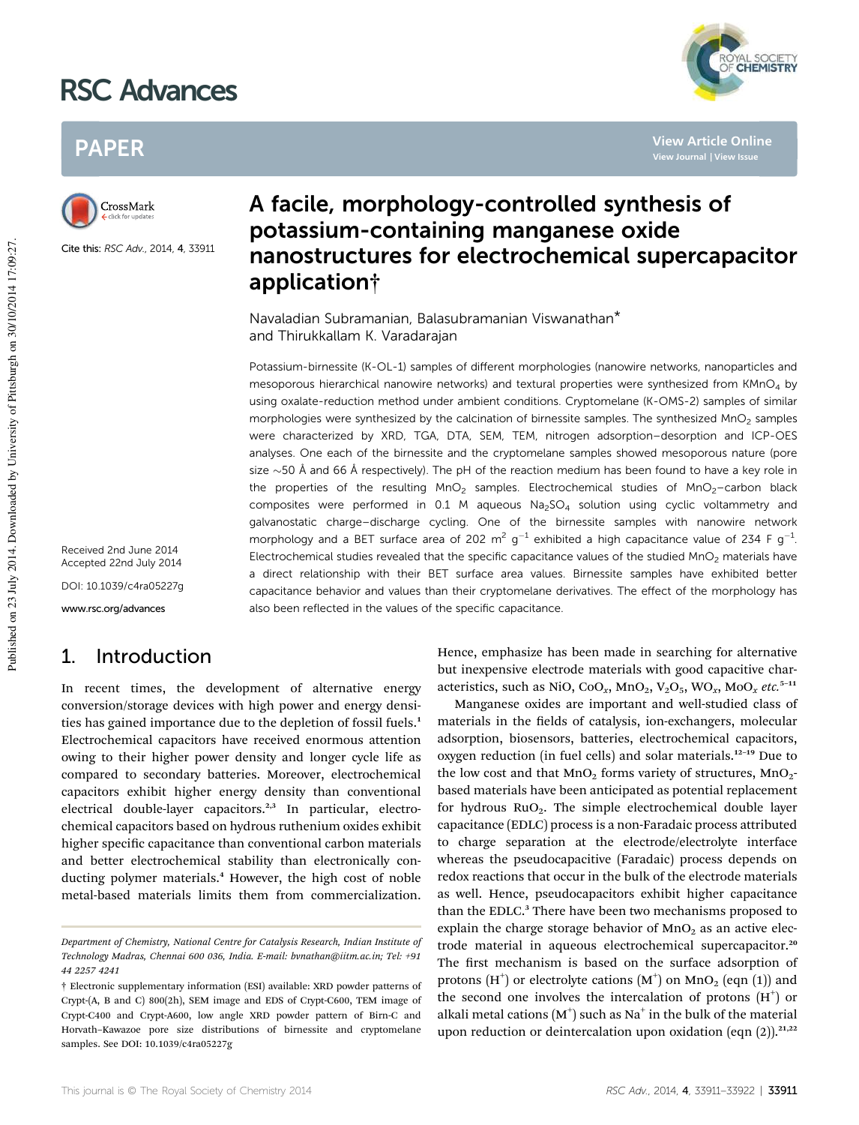# RSC Advances



**View Article Online**

## PAPER



Cite this: RSC Adv., 2014, 4, 33911

Received 2nd June 2014 Accepted 22nd July 2014

DOI: 10.1039/c4ra05227g

www.rsc.org/advances

### 1. Introduction

In recent times, the development of alternative energy conversion/storage devices with high power and energy densities has gained importance due to the depletion of fossil fuels.<sup>1</sup> Electrochemical capacitors have received enormous attention owing to their higher power density and longer cycle life as compared to secondary batteries. Moreover, electrochemical capacitors exhibit higher energy density than conventional electrical double-layer capacitors.<sup>2,3</sup> In particular, electrochemical capacitors based on hydrous ruthenium oxides exhibit higher specific capacitance than conventional carbon materials and better electrochemical stability than electronically conducting polymer materials.<sup>4</sup> However, the high cost of noble metal-based materials limits them from commercialization.

## A facile, morphology-controlled synthesis of potassium-containing manganese oxide nanostructures for electrochemical supercapacitor application†

Navaladian Subramanian, Balasubramanian Viswanathan\* and Thirukkallam K. Varadarajan

Potassium-birnessite (K-OL-1) samples of different morphologies (nanowire networks, nanoparticles and mesoporous hierarchical nanowire networks) and textural properties were synthesized from KMnO<sub>4</sub> by using oxalate-reduction method under ambient conditions. Cryptomelane (K-OMS-2) samples of similar morphologies were synthesized by the calcination of birnessite samples. The synthesized MnO<sub>2</sub> samples were characterized by XRD, TGA, DTA, SEM, TEM, nitrogen adsorption–desorption and ICP-OES analyses. One each of the birnessite and the cryptomelane samples showed mesoporous nature (pore size  $\sim$  50 Å and 66 Å respectively). The pH of the reaction medium has been found to have a key role in the properties of the resulting  $MnO<sub>2</sub>$  samples. Electrochemical studies of  $MnO<sub>2</sub>$ –carbon black composites were performed in 0.1 M aqueous  $Na<sub>2</sub>SO<sub>4</sub>$  solution using cyclic voltammetry and galvanostatic charge–discharge cycling. One of the birnessite samples with nanowire network morphology and a BET surface area of 202 m<sup>2</sup> g<sup>-1</sup> exhibited a high capacitance value of 234 F g<sup>-1</sup>. Electrochemical studies revealed that the specific capacitance values of the studied  $MnO<sub>2</sub>$  materials have a direct relationship with their BET surface area values. Birnessite samples have exhibited better capacitance behavior and values than their cryptomelane derivatives. The effect of the morphology has also been reflected in the values of the specific capacitance.

> Hence, emphasize has been made in searching for alternative but inexpensive electrode materials with good capacitive characteristics, such as NiO, CoO<sub>x</sub>, MnO<sub>2</sub>, V<sub>2</sub>O<sub>5</sub>, WO<sub>x</sub>, MoO<sub>x</sub> *etc.*<sup>5-11</sup>

> Manganese oxides are important and well-studied class of materials in the fields of catalysis, ion-exchangers, molecular adsorption, biosensors, batteries, electrochemical capacitors, oxygen reduction (in fuel cells) and solar materials.<sup>12-19</sup> Due to the low cost and that  $MnO<sub>2</sub>$  forms variety of structures,  $MnO<sub>2</sub>$ based materials have been anticipated as potential replacement for hydrous  $RuO<sub>2</sub>$ . The simple electrochemical double layer capacitance (EDLC) process is a non-Faradaic process attributed to charge separation at the electrode/electrolyte interface whereas the pseudocapacitive (Faradaic) process depends on redox reactions that occur in the bulk of the electrode materials as well. Hence, pseudocapacitors exhibit higher capacitance than the EDLC.<sup>3</sup> There have been two mechanisms proposed to explain the charge storage behavior of  $MnO<sub>2</sub>$  as an active electrode material in aqueous electrochemical supercapacitor.<sup>20</sup> The first mechanism is based on the surface adsorption of protons  $(H^+)$  or electrolyte cations  $(M^+)$  on  $MnO_2$  (eqn (1)) and the second one involves the intercalation of protons  $(H<sup>+</sup>)$  or alkali metal cations  $(M^+)$  such as Na $^+$  in the bulk of the material upon reduction or deintercalation upon oxidation (eqn  $(2)$ ).<sup>21,22</sup>

*Department of Chemistry, National Centre for Catalysis Research, Indian Institute of Technology Madras, Chennai 600 036, India. E-mail: bvnathan@iitm.ac.in; Tel: +91 44 2257 4241*

<sup>†</sup> Electronic supplementary information (ESI) available: XRD powder patterns of Crypt-(A, B and C) 800(2h), SEM image and EDS of Crypt-C600, TEM image of Crypt-C400 and Crypt-A600, low angle XRD powder pattern of Birn-C and Horvath–Kawazoe pore size distributions of birnessite and cryptomelane samples. See DOI: 10.1039/c4ra05227g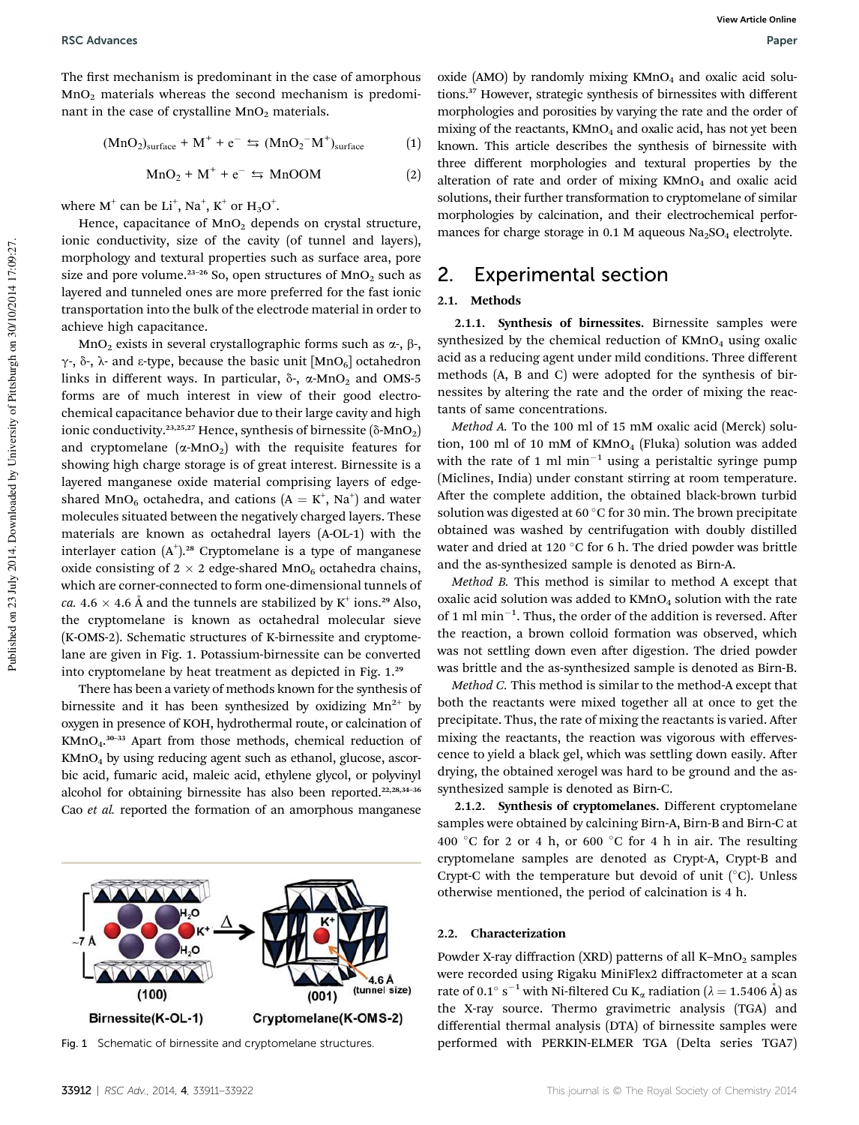The first mechanism is predominant in the case of amorphous  $MnO<sub>2</sub>$  materials whereas the second mechanism is predominant in the case of crystalline  $MnO<sub>2</sub>$  materials.

$$
(MnO2)surface + M+ + e- \Leftrightarrow (MnO2-M+)surface
$$
 (1)

$$
MnO_2 + M^+ + e^- \leftrightarrows MnOOM \tag{2}
$$

where  $M^+$  can be  $Li^+$ ,  $Na^+$ ,  $K^+$  or  $H_3O^+$ .

Hence, capacitance of  $MnO<sub>2</sub>$  depends on crystal structure, ionic conductivity, size of the cavity (of tunnel and layers), morphology and textural properties such as surface area, pore size and pore volume.<sup>23-26</sup> So, open structures of  $MnO<sub>2</sub>$  such as layered and tunneled ones are more preferred for the fast ionic transportation into the bulk of the electrode material in order to achieve high capacitance.

MnO<sub>2</sub> exists in several crystallographic forms such as  $\alpha$ -,  $\beta$ -,  $\gamma$ -,  $\delta$ -,  $\lambda$ - and  $\epsilon$ -type, because the basic unit [MnO<sub>6</sub>] octahedron links in different ways. In particular,  $\delta$ -,  $\alpha$ -MnO<sub>2</sub> and OMS-5 forms are of much interest in view of their good electrochemical capacitance behavior due to their large cavity and high ionic conductivity.<sup>23,25,27</sup> Hence, synthesis of birnessite ( $\delta$ -MnO<sub>2</sub>) and cryptomelane  $(\alpha$ -MnO<sub>2</sub>) with the requisite features for showing high charge storage is of great interest. Birnessite is a layered manganese oxide material comprising layers of edgeshared MnO<sub>6</sub> octahedra, and cations  $(A = K^{+}, Na^{+})$  and water molecules situated between the negatively charged layers. These materials are known as octahedral layers (A-OL-1) with the interlayer cation  $(A<sup>+</sup>)$ .<sup>28</sup> Cryptomelane is a type of manganese oxide consisting of  $2 \times 2$  edge-shared MnO<sub>6</sub> octahedra chains, which are corner-connected to form one-dimensional tunnels of *ca.* 4.6  $\times$  4.6 Å and the tunnels are stabilized by K<sup>+</sup> ions.<sup>29</sup> Also, the cryptomelane is known as octahedral molecular sieve (K-OMS-2). Schematic structures of K-birnessite and cryptomelane are given in Fig. 1. Potassium-birnessite can be converted into cryptomelane by heat treatment as depicted in Fig. 1.<sup>29</sup>

There has been a variety of methods known for the synthesis of birnessite and it has been synthesized by oxidizing  $Mn^{2+}$  by oxygen in presence of KOH, hydrothermal route, or calcination of KMnO<sub>4</sub>.<sup>30-33</sup> Apart from those methods, chemical reduction of KMnO<sup>4</sup> by using reducing agent such as ethanol, glucose, ascorbic acid, fumaric acid, maleic acid, ethylene glycol, or polyvinyl alcohol for obtaining birnessite has also been reported.<sup>22,28,34-36</sup> Cao *et al.* reported the formation of an amorphous manganese



oxide (AMO) by randomly mixing  $KMnO<sub>4</sub>$  and oxalic acid solutions.<sup>37</sup> However, strategic synthesis of birnessites with different morphologies and porosities by varying the rate and the order of mixing of the reactants,  $KMnO_4$  and oxalic acid, has not yet been known. This article describes the synthesis of birnessite with three different morphologies and textural properties by the alteration of rate and order of mixing  $KMnO<sub>4</sub>$  and oxalic acid solutions, their further transformation to cryptomelane of similar morphologies by calcination, and their electrochemical performances for charge storage in 0.1 M aqueous  $Na<sub>2</sub>SO<sub>4</sub>$  electrolyte.

### 2. Experimental section

#### 2.1. Methods

2.1.1. Synthesis of birnessites. Birnessite samples were synthesized by the chemical reduction of  $KMnO<sub>4</sub>$  using oxalic acid as a reducing agent under mild conditions. Three different methods (A, B and C) were adopted for the synthesis of birnessites by altering the rate and the order of mixing the reactants of same concentrations.

*Method A.* To the 100 ml of 15 mM oxalic acid (Merck) solution, 100 ml of 10 mM of  $KMnO<sub>4</sub>$  (Fluka) solution was added with the rate of 1 ml  $min^{-1}$  using a peristaltic syringe pump (Miclines, India) under constant stirring at room temperature. After the complete addition, the obtained black-brown turbid solution was digested at 60  $\mathrm{^{\circ}C}$  for 30 min. The brown precipitate obtained was washed by centrifugation with doubly distilled water and dried at 120  $\degree$ C for 6 h. The dried powder was brittle and the as-synthesized sample is denoted as Birn-A.

*Method B.* This method is similar to method A except that oxalic acid solution was added to  $KMnO<sub>4</sub>$  solution with the rate of 1 ml  $min^{-1}$ . Thus, the order of the addition is reversed. After the reaction, a brown colloid formation was observed, which was not settling down even after digestion. The dried powder was brittle and the as-synthesized sample is denoted as Birn-B.

*Method C.* This method is similar to the method-A except that both the reactants were mixed together all at once to get the precipitate. Thus, the rate of mixing the reactants is varied. After mixing the reactants, the reaction was vigorous with effervescence to yield a black gel, which was settling down easily. After drying, the obtained xerogel was hard to be ground and the assynthesized sample is denoted as Birn-C.

2.1.2. Synthesis of cryptomelanes. Different cryptomelane samples were obtained by calcining Birn-A, Birn-B and Birn-C at 400 °C for 2 or 4 h, or 600 °C for 4 h in air. The resulting cryptomelane samples are denoted as Crypt-A, Crypt-B and Crypt-C with the temperature but devoid of unit  $(^\circ C)$ . Unless otherwise mentioned, the period of calcination is 4 h.

#### 2.2. Characterization

Powder X-ray diffraction (XRD) patterns of all K-MnO<sub>2</sub> samples were recorded using Rigaku MiniFlex2 diffractometer at a scan rate of 0.1° s<sup>-1</sup> with Ni-filtered Cu K<sub>α</sub> radiation ( $\lambda = 1.5406$  Å) as the X-ray source. Thermo gravimetric analysis (TGA) and differential thermal analysis (DTA) of birnessite samples were Fig. 1 Schematic of birnessite and cryptomelane structures. performed with PERKIN-ELMER TGA (Delta series TGA7)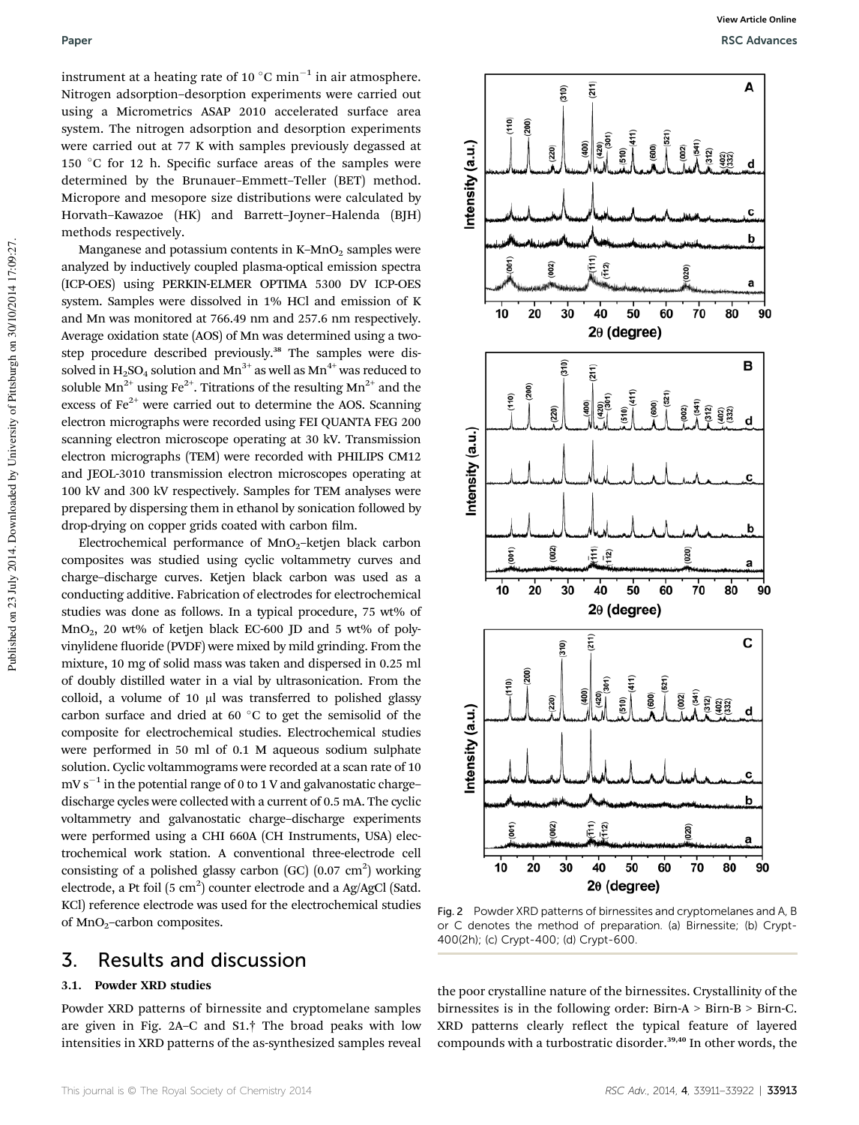instrument at a heating rate of 10  $^{\circ} \mathrm{C}$  min $^{-1}$  in air atmosphere. Nitrogen adsorption–desorption experiments were carried out using a Micrometrics ASAP 2010 accelerated surface area system. The nitrogen adsorption and desorption experiments were carried out at 77 K with samples previously degassed at 150 °C for 12 h. Specific surface areas of the samples were determined by the Brunauer–Emmett–Teller (BET) method. Micropore and mesopore size distributions were calculated by Horvath–Kawazoe (HK) and Barrett–Joyner–Halenda (BJH) methods respectively.

Manganese and potassium contents in  $K-MnO<sub>2</sub>$  samples were analyzed by inductively coupled plasma-optical emission spectra (ICP-OES) using PERKIN-ELMER OPTIMA 5300 DV ICP-OES system. Samples were dissolved in 1% HCl and emission of K and Mn was monitored at 766.49 nm and 257.6 nm respectively. Average oxidation state (AOS) of Mn was determined using a twostep procedure described previously.<sup>38</sup> The samples were dissolved in  $H_2SO_4$  solution and Mn<sup>3+</sup> as well as Mn<sup>4+</sup> was reduced to soluble  $Mn^{2+}$  using Fe<sup>2+</sup>. Titrations of the resulting  $Mn^{2+}$  and the excess of  $Fe<sup>2+</sup>$  were carried out to determine the AOS. Scanning electron micrographs were recorded using FEI QUANTA FEG 200 scanning electron microscope operating at 30 kV. Transmission electron micrographs (TEM) were recorded with PHILIPS CM12 and JEOL-3010 transmission electron microscopes operating at 100 kV and 300 kV respectively. Samples for TEM analyses were prepared by dispersing them in ethanol by sonication followed by drop-drying on copper grids coated with carbon film.

Electrochemical performance of  $MnO<sub>2</sub>$ –ketjen black carbon composites was studied using cyclic voltammetry curves and charge–discharge curves. Ketjen black carbon was used as a conducting additive. Fabrication of electrodes for electrochemical studies was done as follows. In a typical procedure, 75 wt% of  $MnO<sub>2</sub>$ , 20 wt% of ketjen black EC-600 JD and 5 wt% of polyvinylidene fluoride (PVDF) were mixed by mild grinding. From the mixture, 10 mg of solid mass was taken and dispersed in 0.25 ml of doubly distilled water in a vial by ultrasonication. From the colloid, a volume of 10 µl was transferred to polished glassy carbon surface and dried at 60 $\degree$ C to get the semisolid of the composite for electrochemical studies. Electrochemical studies were performed in 50 ml of 0.1 M aqueous sodium sulphate solution. Cyclic voltammograms were recorded at a scan rate of 10  $mv s^{-1}$  in the potential range of 0 to 1 V and galvanostatic chargedischarge cycles were collected with a current of 0.5 mA. The cyclic voltammetry and galvanostatic charge–discharge experiments were performed using a CHI 660A (CH Instruments, USA) electrochemical work station. A conventional three-electrode cell consisting of a polished glassy carbon (GC)  $(0.07 \text{ cm}^2)$  working electrode, a Pt foil  $(5 \text{ cm}^2)$  counter electrode and a Ag/AgCl (Satd. KCl) reference electrode was used for the electrochemical studies of  $MnO<sub>2</sub>$ -carbon composites.

### 3. Results and discussion

#### 3.1. Powder XRD studies

Powder XRD patterns of birnessite and cryptomelane samples are given in Fig. 2A–C and S1.† The broad peaks with low intensities in XRD patterns of the as-synthesized samples reveal



Fig. 2 Powder XRD patterns of birnessites and cryptomelanes and A, B or C denotes the method of preparation. (a) Birnessite; (b) Crypt-400(2h); (c) Crypt-400; (d) Crypt-600.

the poor crystalline nature of the birnessites. Crystallinity of the birnessites is in the following order: Birn-A > Birn-B > Birn-C. XRD patterns clearly reflect the typical feature of layered compounds with a turbostratic disorder.<sup>39,40</sup> In other words, the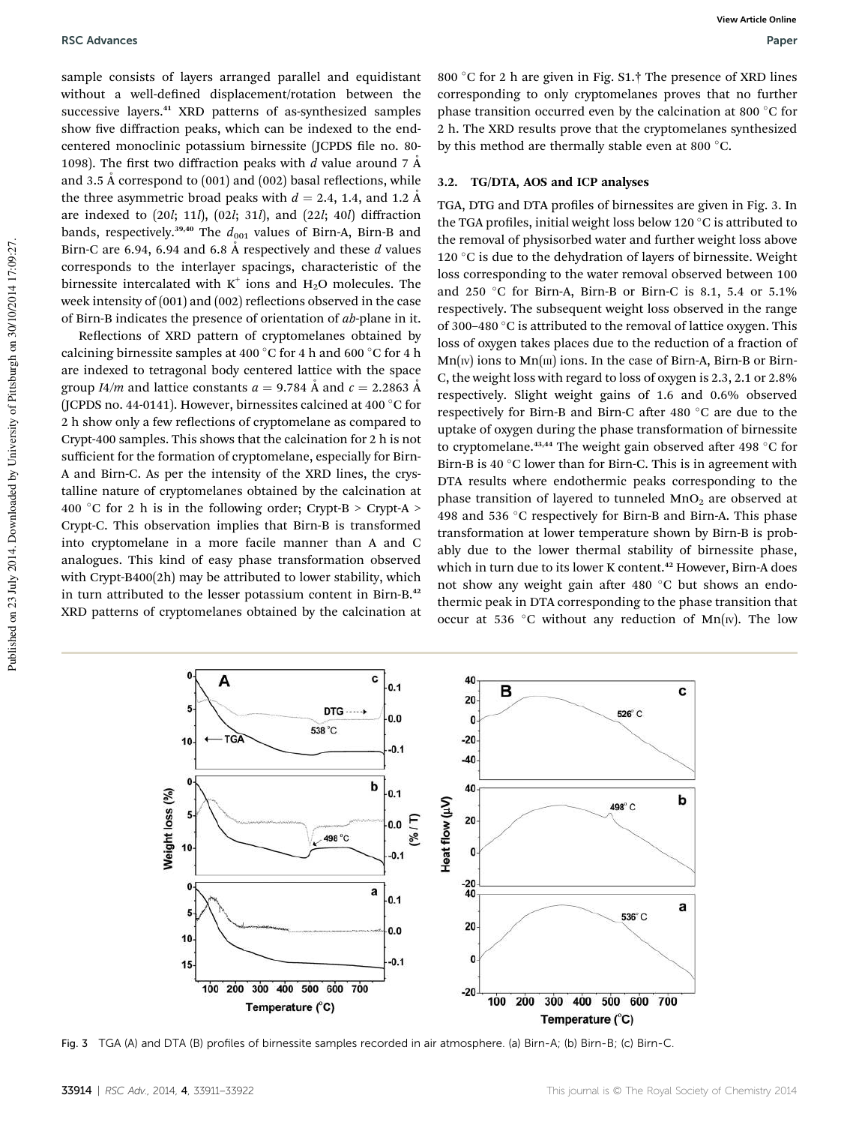sample consists of layers arranged parallel and equidistant without a well-defined displacement/rotation between the successive layers.<sup>41</sup> XRD patterns of as-synthesized samples show five diffraction peaks, which can be indexed to the endcentered monoclinic potassium birnessite (JCPDS file no. 80-1098). The first two diffraction peaks with *d* value around  $7 \text{ Å}$ and 3.5 Å correspond to  $(001)$  and  $(002)$  basal reflections, while the three asymmetric broad peaks with  $d = 2.4$ , 1.4, and 1.2 Å are indexed to (20*l*; 11*l*), (02*l*; 31*l*), and (22*l*; 40*l*) diffraction bands, respectively.<sup>39,40</sup> The  $d_{001}$  values of Birn-A, Birn-B and Birn-C are 6.94, 6.94 and 6.8  $\AA$  respectively and these  $d$  values corresponds to the interlayer spacings, characteristic of the birnessite intercalated with  $K^+$  ions and  $H_2O$  molecules. The week intensity of  $(001)$  and  $(002)$  reflections observed in the case of Birn-B indicates the presence of orientation of *ab*-plane in it.

Reflections of XRD pattern of cryptomelanes obtained by calcining birnessite samples at 400  $\degree$ C for 4 h and 600  $\degree$ C for 4 h are indexed to tetragonal body centered lattice with the space group *I4/m* and lattice constants  $a = 9.784$  Å and  $c = 2.2863$  Å (JCPDS no. 44-0141). However, birnessites calcined at 400 $\degree$ C for 2 h show only a few reflections of cryptomelane as compared to Crypt-400 samples. This shows that the calcination for 2 h is not sufficient for the formation of cryptomelane, especially for Birn-A and Birn-C. As per the intensity of the XRD lines, the crystalline nature of cryptomelanes obtained by the calcination at 400 °C for 2 h is in the following order; Crypt-B > Crypt-A > Crypt-C. This observation implies that Birn-B is transformed into cryptomelane in a more facile manner than A and C analogues. This kind of easy phase transformation observed with Crypt-B400(2h) may be attributed to lower stability, which in turn attributed to the lesser potassium content in Birn-B.<sup>42</sup> XRD patterns of cryptomelanes obtained by the calcination at 800 °C for 2 h are given in Fig. S1.<sup>†</sup> The presence of XRD lines corresponding to only cryptomelanes proves that no further phase transition occurred even by the calcination at 800  $\degree$ C for 2 h. The XRD results prove that the cryptomelanes synthesized by this method are thermally stable even at 800  $^{\circ}$ C.

#### 3.2. TG/DTA, AOS and ICP analyses

TGA, DTG and DTA profiles of birnessites are given in Fig. 3. In the TGA profiles, initial weight loss below 120  $\mathrm{^{\circ}C}$  is attributed to the removal of physisorbed water and further weight loss above 120  $\degree$ C is due to the dehydration of layers of birnessite. Weight loss corresponding to the water removal observed between 100 and 250 °C for Birn-A, Birn-B or Birn-C is 8.1, 5.4 or 5.1% respectively. The subsequent weight loss observed in the range of 300–480  $\degree$ C is attributed to the removal of lattice oxygen. This loss of oxygen takes places due to the reduction of a fraction of  $Mn(w)$  ions to  $Mn(m)$  ions. In the case of Birn-A, Birn-B or Birn-C, the weight loss with regard to loss of oxygen is 2.3, 2.1 or 2.8% respectively. Slight weight gains of 1.6 and 0.6% observed respectively for Birn-B and Birn-C after 480 °C are due to the uptake of oxygen during the phase transformation of birnessite to cryptomelane.<sup>43,44</sup> The weight gain observed after 498  $\degree$ C for Birn-B is 40 $\degree$ C lower than for Birn-C. This is in agreement with DTA results where endothermic peaks corresponding to the phase transition of layered to tunneled  $MnO<sub>2</sub>$  are observed at 498 and 536  $\degree$ C respectively for Birn-B and Birn-A. This phase transformation at lower temperature shown by Birn-B is probably due to the lower thermal stability of birnessite phase, which in turn due to its lower K content.<sup>42</sup> However, Birn-A does not show any weight gain after 480  $^{\circ}$ C but shows an endothermic peak in DTA corresponding to the phase transition that occur at 536 °C without any reduction of Mn( $\text{iv}$ ). The low



Fig. 3 TGA (A) and DTA (B) profiles of birnessite samples recorded in air atmosphere. (a) Birn-A; (b) Birn-B; (c) Birn-C.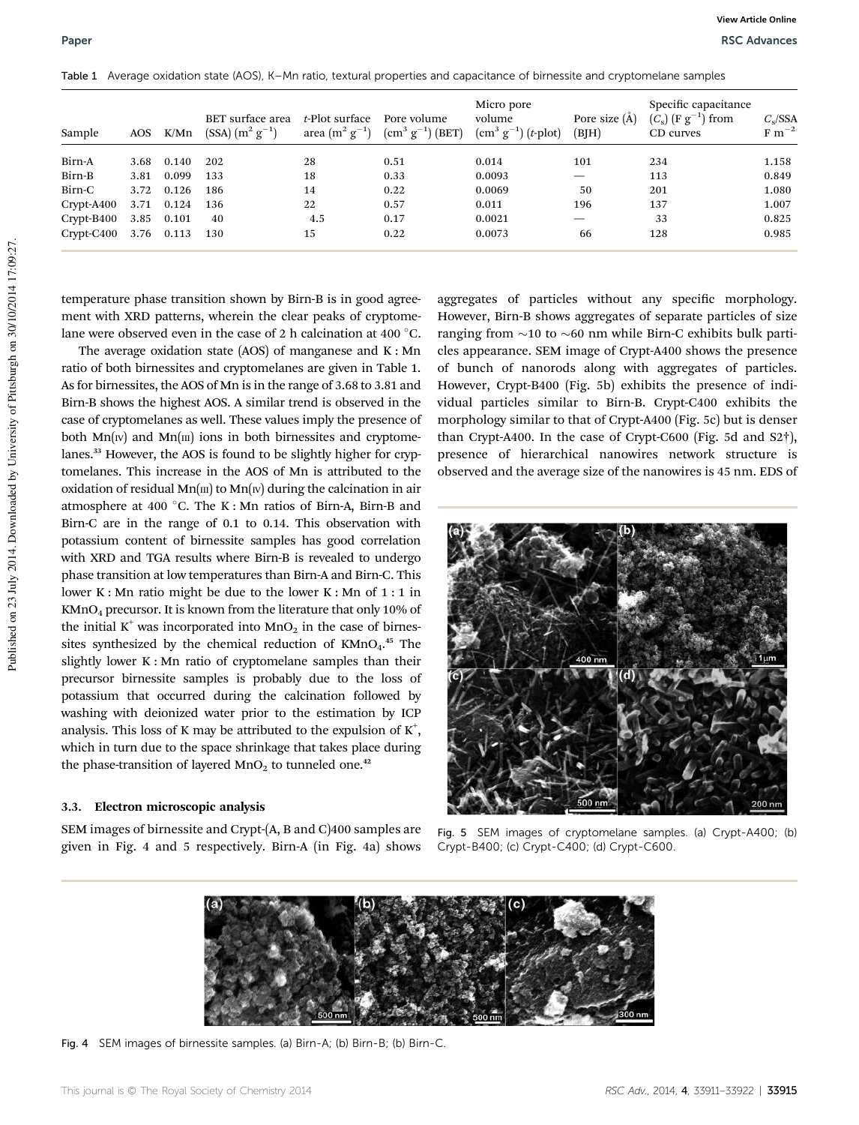| Sample       | AOS  | K/Mn  | BET surface area<br>$(SSA)$ $(m^2 \text{ g}^{-1})$ | t-Plot surface<br>area $(m^2 g^{-1})$ | Pore volume<br>$\left(\text{cm}^3 \text{ g}^{-1}\right) \left(\text{BET}\right)$ | Micro pore<br>volume<br>$\left[ \text{cm}^{3} \text{ g}^{-1} \right]$ ( <i>t</i> -plot) | Pore size $(A)$<br>(BJH) | Specific capacitance<br>$(C_s)$ (F $g^{-1}$ ) from<br>CD curves | $C_s/SSA$<br>$F~m^{-2}$ |
|--------------|------|-------|----------------------------------------------------|---------------------------------------|----------------------------------------------------------------------------------|-----------------------------------------------------------------------------------------|--------------------------|-----------------------------------------------------------------|-------------------------|
| Birn-A       | 3.68 | 0.140 | 202                                                | 28                                    | 0.51                                                                             | 0.014                                                                                   | 101                      | 234                                                             | 1.158                   |
| Birn-B       | 3.81 | 0.099 | 133                                                | 18                                    | 0.33                                                                             | 0.0093                                                                                  |                          | 113                                                             | 0.849                   |
| Birn-C       | 3.72 | 0.126 | 186                                                | 14                                    | 0.22                                                                             | 0.0069                                                                                  | 50                       | 201                                                             | 1.080                   |
| $Crypt-A400$ | 3.71 | 0.124 | 136                                                | 22                                    | 0.57                                                                             | 0.011                                                                                   | 196                      | 137                                                             | 1.007                   |
| $Crypt-B400$ | 3.85 | 0.101 | 40                                                 | 4.5                                   | 0.17                                                                             | 0.0021                                                                                  |                          | 33                                                              | 0.825                   |
| $Crypt-C400$ | 3.76 | 0.113 | 130                                                | 15                                    | 0.22                                                                             | 0.0073                                                                                  | 66                       | 128                                                             | 0.985                   |

Table 1 Average oxidation state (AOS), K–Mn ratio, textural properties and capacitance of birnessite and cryptomelane samples

temperature phase transition shown by Birn-B is in good agreement with XRD patterns, wherein the clear peaks of cryptomelane were observed even in the case of 2 h calcination at 400  $^{\circ}$ C.

The average oxidation state (AOS) of manganese and K : Mn ratio of both birnessites and cryptomelanes are given in Table 1. As for birnessites, the AOS of Mn is in the range of 3.68 to 3.81 and Birn-B shows the highest AOS. A similar trend is observed in the case of cryptomelanes as well. These values imply the presence of both  $Mn(w)$  and  $Mn(m)$  ions in both birnessites and cryptomelanes.<sup>33</sup> However, the AOS is found to be slightly higher for cryptomelanes. This increase in the AOS of Mn is attributed to the oxidation of residual  $Mn(m)$  to  $Mn(w)$  during the calcination in air atmosphere at 400 °C. The K : Mn ratios of Birn-A, Birn-B and Birn-C are in the range of 0.1 to 0.14. This observation with potassium content of birnessite samples has good correlation with XRD and TGA results where Birn-B is revealed to undergo phase transition at low temperatures than Birn-A and Birn-C. This lower K : Mn ratio might be due to the lower K : Mn of 1 : 1 in KMnO<sup>4</sup> precursor. It is known from the literature that only 10% of the initial  $K^+$  was incorporated into  $MnO_2$  in the case of birnessites synthesized by the chemical reduction of KMnO<sub>4</sub>.<sup>45</sup> The slightly lower K : Mn ratio of cryptomelane samples than their precursor birnessite samples is probably due to the loss of potassium that occurred during the calcination followed by washing with deionized water prior to the estimation by ICP analysis. This loss of K may be attributed to the expulsion of  $K^+$ , which in turn due to the space shrinkage that takes place during the phase-transition of layered  $MnO<sub>2</sub>$  to tunneled one.<sup>42</sup>

#### 3.3. Electron microscopic analysis

SEM images of birnessite and Crypt-(A, B and C)400 samples are given in Fig. 4 and 5 respectively. Birn-A (in Fig. 4a) shows aggregates of particles without any specific morphology. However, Birn-B shows aggregates of separate particles of size ranging from  $\sim$ 10 to  $\sim$ 60 nm while Birn-C exhibits bulk particles appearance. SEM image of Crypt-A400 shows the presence of bunch of nanorods along with aggregates of particles. However, Crypt-B400 (Fig. 5b) exhibits the presence of individual particles similar to Birn-B. Crypt-C400 exhibits the morphology similar to that of Crypt-A400 (Fig. 5c) but is denser than Crypt-A400. In the case of Crypt-C600 (Fig. 5d and S2†), presence of hierarchical nanowires network structure is observed and the average size of the nanowires is 45 nm. EDS of



Fig. 5 SEM images of cryptomelane samples. (a) Crypt-A400; (b) Crypt-B400; (c) Crypt-C400; (d) Crypt-C600.



Fig. 4 SEM images of birnessite samples. (a) Birn-A; (b) Birn-B; (b) Birn-C.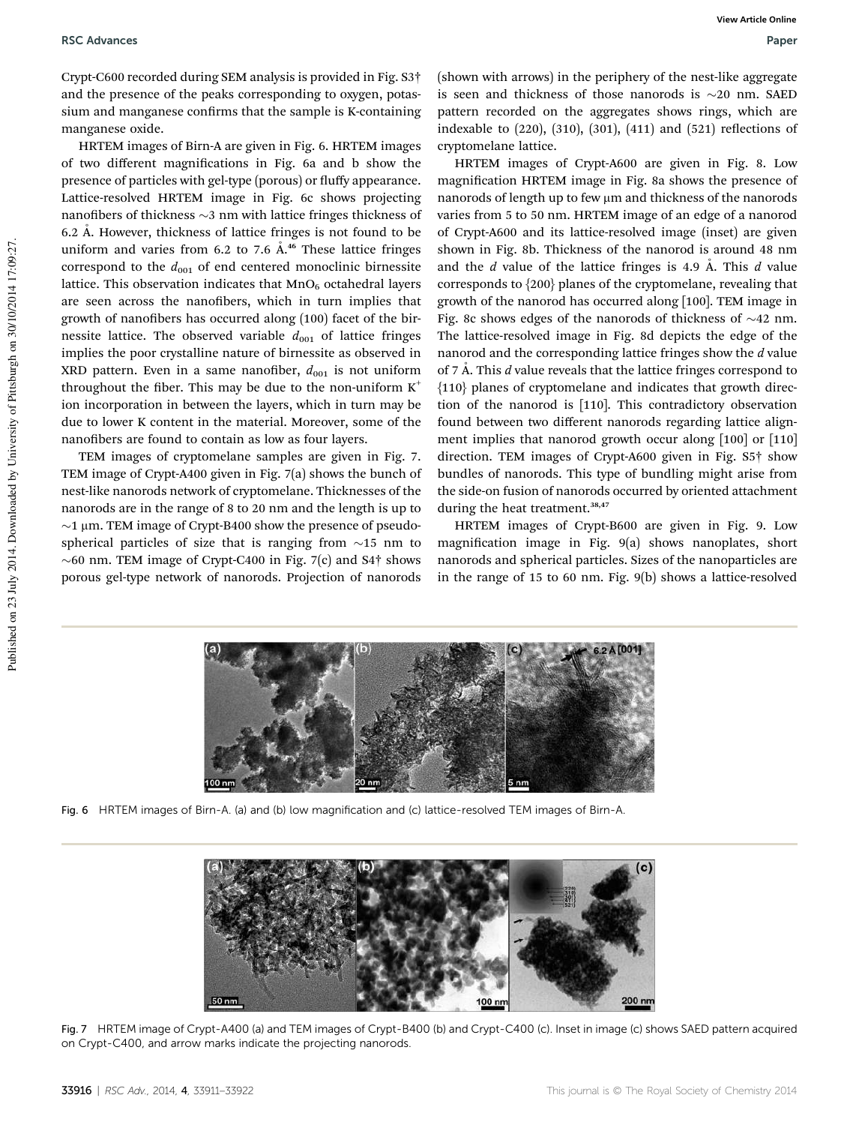Crypt-C600 recorded during SEM analysis is provided in Fig. S3† and the presence of the peaks corresponding to oxygen, potassium and manganese confirms that the sample is K-containing manganese oxide.

HRTEM images of Birn-A are given in Fig. 6. HRTEM images of two different magnifications in Fig. 6a and b show the presence of particles with gel-type (porous) or fluffy appearance. Lattice-resolved HRTEM image in Fig. 6c shows projecting nanofibers of thickness  $\sim$ 3 nm with lattice fringes thickness of 6.2 Å. However, thickness of lattice fringes is not found to be uniform and varies from 6.2 to 7.6  $\AA$ <sup>46</sup> These lattice fringes correspond to the  $d_{001}$  of end centered monoclinic birnessite lattice. This observation indicates that  $MnO<sub>6</sub>$  octahedral layers are seen across the nanofibers, which in turn implies that growth of nanofibers has occurred along (100) facet of the birnessite lattice. The observed variable  $d_{001}$  of lattice fringes implies the poor crystalline nature of birnessite as observed in XRD pattern. Even in a same nanofiber,  $d_{001}$  is not uniform throughout the fiber. This may be due to the non-uniform  $K^+$ ion incorporation in between the layers, which in turn may be due to lower K content in the material. Moreover, some of the nanofibers are found to contain as low as four layers.

TEM images of cryptomelane samples are given in Fig. 7. TEM image of Crypt-A400 given in Fig. 7(a) shows the bunch of nest-like nanorods network of cryptomelane. Thicknesses of the nanorods are in the range of 8 to 20 nm and the length is up to  $\sim$ 1 µm. TEM image of Crypt-B400 show the presence of pseudospherical particles of size that is ranging from  $\sim$ 15 nm to  $\sim$  60 nm. TEM image of Crypt-C400 in Fig. 7(c) and S4 $\dagger$  shows porous gel-type network of nanorods. Projection of nanorods

(shown with arrows) in the periphery of the nest-like aggregate is seen and thickness of those nanorods is  $\sim$ 20 nm. SAED pattern recorded on the aggregates shows rings, which are indexable to  $(220)$ ,  $(310)$ ,  $(301)$ ,  $(411)$  and  $(521)$  reflections of cryptomelane lattice.

HRTEM images of Crypt-A600 are given in Fig. 8. Low magnification HRTEM image in Fig. 8a shows the presence of nanorods of length up to few  $\mu$ m and thickness of the nanorods varies from 5 to 50 nm. HRTEM image of an edge of a nanorod of Crypt-A600 and its lattice-resolved image (inset) are given shown in Fig. 8b. Thickness of the nanorod is around 48 nm and the *d* value of the lattice fringes is 4.9 Å. This *d* value corresponds to {200} planes of the cryptomelane, revealing that growth of the nanorod has occurred along [100]. TEM image in Fig. 8c shows edges of the nanorods of thickness of  $\sim$ 42 nm. The lattice-resolved image in Fig. 8d depicts the edge of the nanorod and the corresponding lattice fringes show the *d* value of 7 A. This *d* value reveals that the lattice fringes correspond to {110} planes of cryptomelane and indicates that growth direction of the nanorod is [110]. This contradictory observation found between two different nanorods regarding lattice alignment implies that nanorod growth occur along [100] or [110] direction. TEM images of Crypt-A600 given in Fig. S5† show bundles of nanorods. This type of bundling might arise from the side-on fusion of nanorods occurred by oriented attachment during the heat treatment.<sup>38,47</sup>

HRTEM images of Crypt-B600 are given in Fig. 9. Low magnification image in Fig.  $9(a)$  shows nanoplates, short nanorods and spherical particles. Sizes of the nanoparticles are in the range of 15 to 60 nm. Fig. 9(b) shows a lattice-resolved



Fig. 6 HRTEM images of Birn-A. (a) and (b) low magnification and (c) lattice-resolved TEM images of Birn-A.



Fig. 7 HRTEM image of Crypt-A400 (a) and TEM images of Crypt-B400 (b) and Crypt-C400 (c). Inset in image (c) shows SAED pattern acquired on Crypt-C400, and arrow marks indicate the projecting nanorods.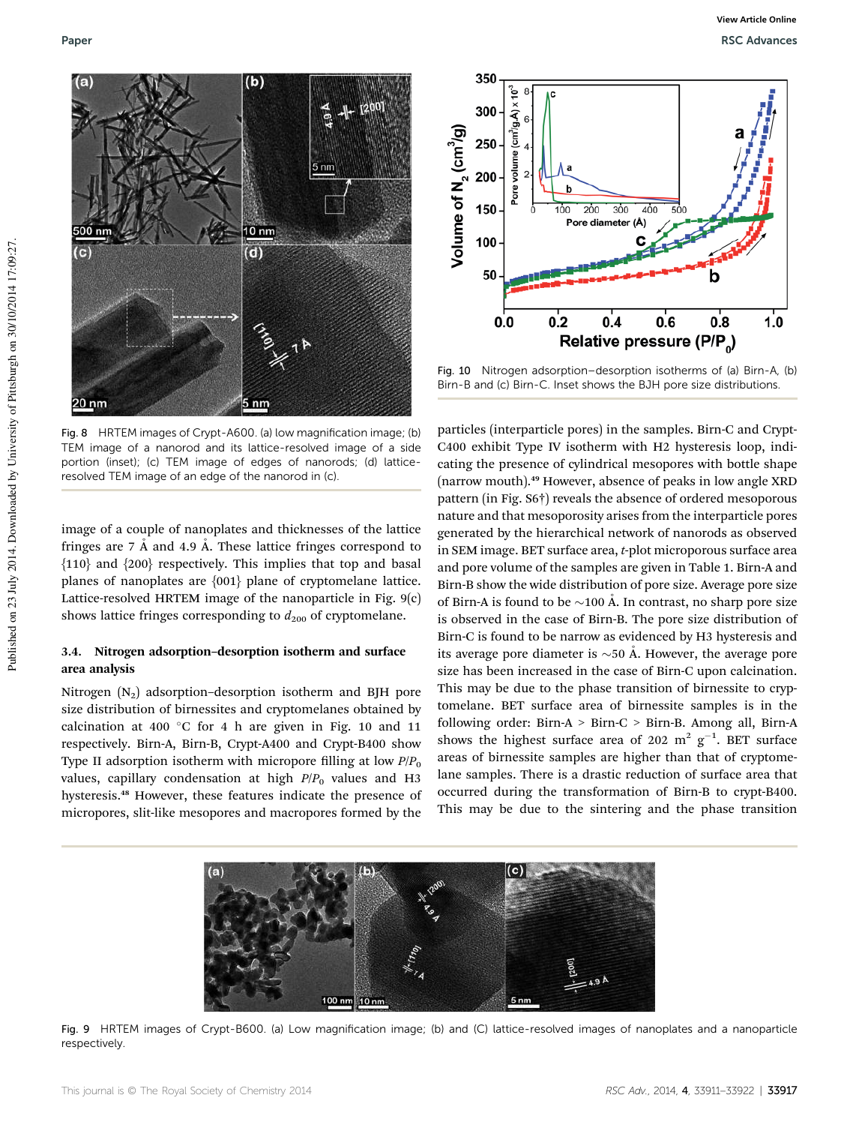

Fig. 8 HRTEM images of Crypt-A600. (a) low magnification image; (b) TEM image of a nanorod and its lattice-resolved image of a side portion (inset); (c) TEM image of edges of nanorods; (d) latticeresolved TEM image of an edge of the nanorod in (c).

image of a couple of nanoplates and thicknesses of the lattice fringes are  $7 \text{ Å}$  and  $4.9 \text{ Å}$ . These lattice fringes correspond to {110} and {200} respectively. This implies that top and basal planes of nanoplates are {001} plane of cryptomelane lattice. Lattice-resolved HRTEM image of the nanoparticle in Fig. 9(c) shows lattice fringes corresponding to  $d_{200}$  of cryptomelane.

#### 3.4. Nitrogen adsorption–desorption isotherm and surface area analysis

Nitrogen  $(N_2)$  adsorption–desorption isotherm and BJH pore size distribution of birnessites and cryptomelanes obtained by calcination at 400  $^{\circ}$ C for 4 h are given in Fig. 10 and 11 respectively. Birn-A, Birn-B, Crypt-A400 and Crypt-B400 show Type II adsorption isotherm with micropore filling at low  $P/P<sub>0</sub>$ values, capillary condensation at high  $P/P<sub>0</sub>$  values and H3 hysteresis.<sup>48</sup> However, these features indicate the presence of micropores, slit-like mesopores and macropores formed by the



Fig. 10 Nitrogen adsorption–desorption isotherms of (a) Birn-A, (b) Birn-B and (c) Birn-C. Inset shows the BJH pore size distributions.

particles (interparticle pores) in the samples. Birn-C and Crypt-C400 exhibit Type IV isotherm with H2 hysteresis loop, indicating the presence of cylindrical mesopores with bottle shape (narrow mouth).<sup>49</sup> However, absence of peaks in low angle XRD pattern (in Fig. S6†) reveals the absence of ordered mesoporous nature and that mesoporosity arises from the interparticle pores generated by the hierarchical network of nanorods as observed in SEM image. BET surface area, *t*-plot microporous surface area and pore volume of the samples are given in Table 1. Birn-A and Birn-B show the wide distribution of pore size. Average pore size of Birn-A is found to be  $\sim$ 100 Å. In contrast, no sharp pore size is observed in the case of Birn-B. The pore size distribution of Birn-C is found to be narrow as evidenced by H3 hysteresis and its average pore diameter is  $\sim$  50 Å. However, the average pore size has been increased in the case of Birn-C upon calcination. This may be due to the phase transition of birnessite to cryptomelane. BET surface area of birnessite samples is in the following order: Birn-A > Birn-C > Birn-B. Among all, Birn-A shows the highest surface area of 202  $m^2$   $g^{-1}$ . BET surface areas of birnessite samples are higher than that of cryptomelane samples. There is a drastic reduction of surface area that occurred during the transformation of Birn-B to crypt-B400. This may be due to the sintering and the phase transition



Fig. 9 HRTEM images of Crypt-B600. (a) Low magnification image; (b) and (C) lattice-resolved images of nanoplates and a nanoparticle respectively.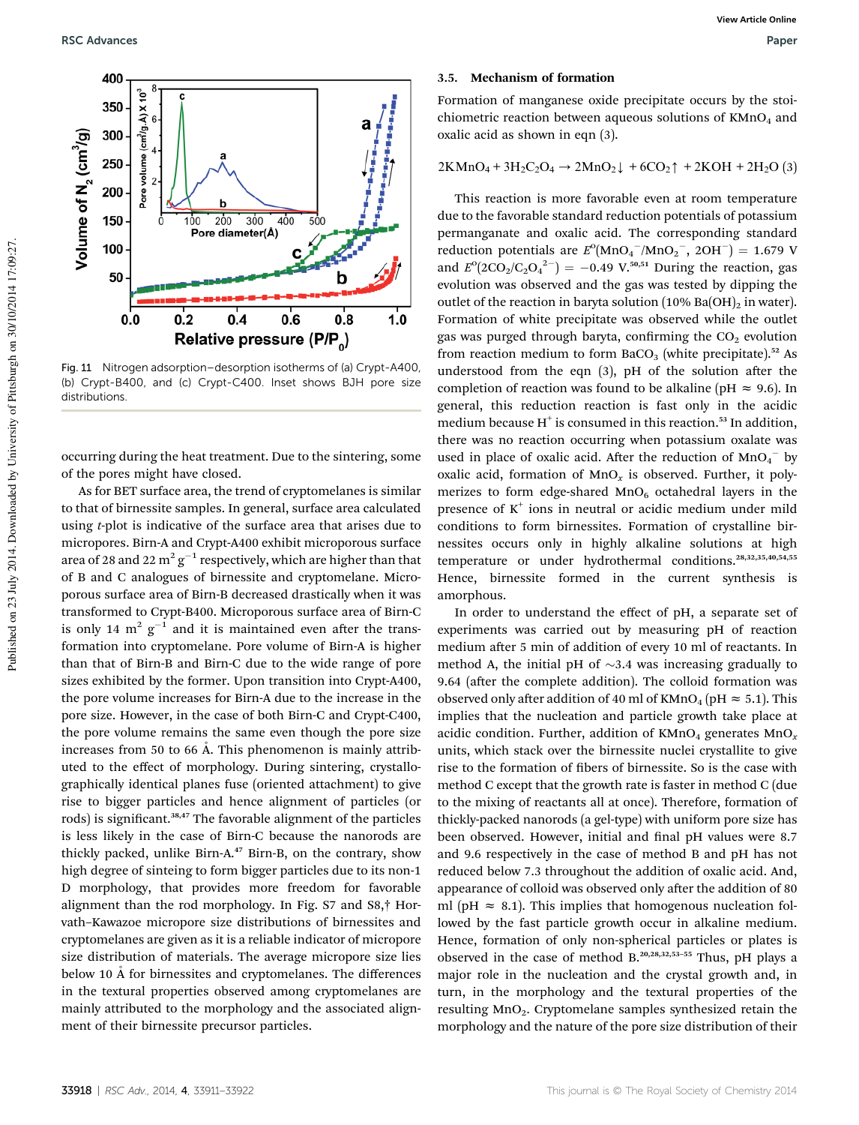

Fig. 11 Nitrogen adsorption–desorption isotherms of (a) Crypt-A400, (b) Crypt-B400, and (c) Crypt-C400. Inset shows BJH pore size distributions.

occurring during the heat treatment. Due to the sintering, some of the pores might have closed.

As for BET surface area, the trend of cryptomelanes is similar to that of birnessite samples. In general, surface area calculated using *t*-plot is indicative of the surface area that arises due to micropores. Birn-A and Crypt-A400 exhibit microporous surface area of 28 and 22 m<sup>2</sup>  $g^{-1}$  respectively, which are higher than that of B and C analogues of birnessite and cryptomelane. Microporous surface area of Birn-B decreased drastically when it was transformed to Crypt-B400. Microporous surface area of Birn-C is only 14  $m^2$   $g^{-1}$  and it is maintained even after the transformation into cryptomelane. Pore volume of Birn-A is higher than that of Birn-B and Birn-C due to the wide range of pore sizes exhibited by the former. Upon transition into Crypt-A400, the pore volume increases for Birn-A due to the increase in the pore size. However, in the case of both Birn-C and Crypt-C400, the pore volume remains the same even though the pore size increases from 50 to 66  $\AA$ . This phenomenon is mainly attributed to the effect of morphology. During sintering, crystallographically identical planes fuse (oriented attachment) to give rise to bigger particles and hence alignment of particles (or rods) is significant.<sup>38,47</sup> The favorable alignment of the particles is less likely in the case of Birn-C because the nanorods are thickly packed, unlike Birn-A.<sup>47</sup> Birn-B, on the contrary, show high degree of sinteing to form bigger particles due to its non-1 D morphology, that provides more freedom for favorable alignment than the rod morphology. In Fig. S7 and S8,† Horvath–Kawazoe micropore size distributions of birnessites and cryptomelanes are given as it is a reliable indicator of micropore size distribution of materials. The average micropore size lies below 10 A for birnessites and cryptomelanes. The differences in the textural properties observed among cryptomelanes are mainly attributed to the morphology and the associated alignment of their birnessite precursor particles.

#### 3.5. Mechanism of formation

Formation of manganese oxide precipitate occurs by the stoichiometric reaction between aqueous solutions of  $KMD<sub>4</sub>$  and oxalic acid as shown in eqn (3).

$$
2KMnO_4 + 3H_2C_2O_4 \rightarrow 2MnO_2 \downarrow + 6CO_2 \uparrow + 2KOH + 2H_2O(3)
$$

This reaction is more favorable even at room temperature due to the favorable standard reduction potentials of potassium permanganate and oxalic acid. The corresponding standard reduction potentials are  $E^0(MnO_4^-/MnO_2^-$ , 2OH<sup>-</sup>) = 1.679 V and  $E^{o}(2CO_2/C_2O_4^{2-}) = -0.49$  V.<sup>50,51</sup> During the reaction, gas evolution was observed and the gas was tested by dipping the outlet of the reaction in baryta solution  $(10\%$  Ba $(OH)_2$  in water). Formation of white precipitate was observed while the outlet gas was purged through baryta, confirming the  $CO<sub>2</sub>$  evolution from reaction medium to form  $BaCO<sub>3</sub>$  (white precipitate).<sup>52</sup> As understood from the eqn  $(3)$ , pH of the solution after the completion of reaction was found to be alkaline (pH  $\approx$  9.6). In general, this reduction reaction is fast only in the acidic medium because  $H^+$  is consumed in this reaction.<sup>53</sup> In addition, there was no reaction occurring when potassium oxalate was used in place of oxalic acid. After the reduction of  $MnO<sub>4</sub>$ <sup>-</sup> by oxalic acid, formation of  $MnO<sub>x</sub>$  is observed. Further, it polymerizes to form edge-shared  $MnO<sub>6</sub>$  octahedral layers in the presence of K<sup>+</sup> ions in neutral or acidic medium under mild conditions to form birnessites. Formation of crystalline birnessites occurs only in highly alkaline solutions at high temperature or under hydrothermal conditions.28,32,35,40,54,55 Hence, birnessite formed in the current synthesis is amorphous.

In order to understand the effect of pH, a separate set of experiments was carried out by measuring pH of reaction medium after 5 min of addition of every 10 ml of reactants. In method A, the initial pH of  $\sim$ 3.4 was increasing gradually to 9.64 (after the complete addition). The colloid formation was observed only after addition of 40 ml of KMnO<sub>4</sub> (pH  $\approx$  5.1). This implies that the nucleation and particle growth take place at acidic condition. Further, addition of  $KMnO<sub>4</sub>$  generates  $MnO<sub>x</sub>$ units, which stack over the birnessite nuclei crystallite to give rise to the formation of fibers of birnessite. So is the case with method C except that the growth rate is faster in method C (due to the mixing of reactants all at once). Therefore, formation of thickly-packed nanorods (a gel-type) with uniform pore size has been observed. However, initial and final pH values were 8.7 and 9.6 respectively in the case of method B and pH has not reduced below 7.3 throughout the addition of oxalic acid. And, appearance of colloid was observed only after the addition of 80 ml (pH  $\approx$  8.1). This implies that homogenous nucleation followed by the fast particle growth occur in alkaline medium. Hence, formation of only non-spherical particles or plates is observed in the case of method B.20,28,32,53–<sup>55</sup> Thus, pH plays a major role in the nucleation and the crystal growth and, in turn, in the morphology and the textural properties of the resulting MnO<sub>2</sub>. Cryptomelane samples synthesized retain the morphology and the nature of the pore size distribution of their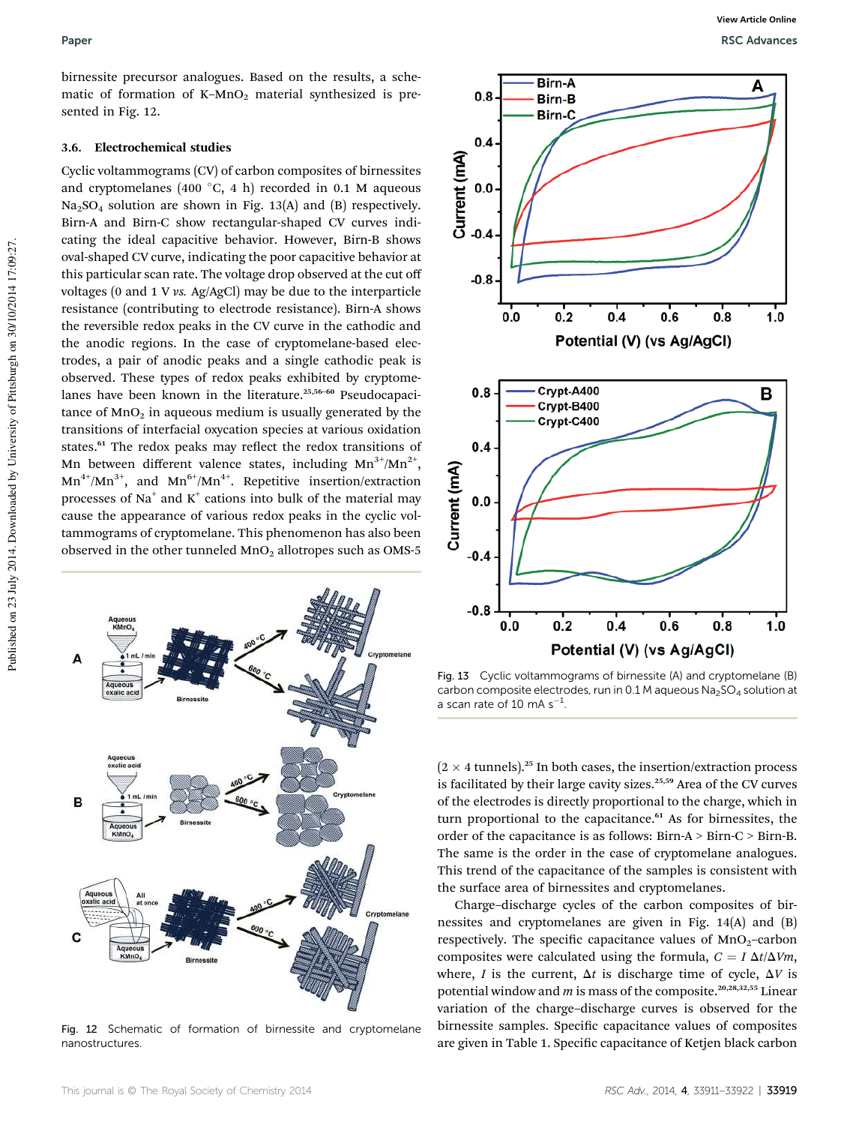birnessite precursor analogues. Based on the results, a schematic of formation of K–MnO<sub>2</sub> material synthesized is presented in Fig. 12.

#### 3.6. Electrochemical studies

Cyclic voltammograms (CV) of carbon composites of birnessites and cryptomelanes (400 °C, 4 h) recorded in 0.1 M aqueous  $Na<sub>2</sub>SO<sub>4</sub>$  solution are shown in Fig. 13(A) and (B) respectively. Birn-A and Birn-C show rectangular-shaped CV curves indicating the ideal capacitive behavior. However, Birn-B shows oval-shaped CV curve, indicating the poor capacitive behavior at this particular scan rate. The voltage drop observed at the cut off voltages (0 and 1 V *vs.* Ag/AgCl) may be due to the interparticle resistance (contributing to electrode resistance). Birn-A shows the reversible redox peaks in the CV curve in the cathodic and the anodic regions. In the case of cryptomelane-based electrodes, a pair of anodic peaks and a single cathodic peak is observed. These types of redox peaks exhibited by cryptomelanes have been known in the literature.<sup>25,56-60</sup> Pseudocapacitance of  $MnO<sub>2</sub>$  in aqueous medium is usually generated by the transitions of interfacial oxycation species at various oxidation states.<sup>61</sup> The redox peaks may reflect the redox transitions of Mn between different valence states, including  $Mn^{3+}/Mn^{2+}$ ,  $Mn^{4+}/Mn^{3+}$ , and  $Mn^{6+}/Mn^{4+}$ . Repetitive insertion/extraction processes of Na $^+$  and K $^+$  cations into bulk of the material may cause the appearance of various redox peaks in the cyclic voltammograms of cryptomelane. This phenomenon has also been observed in the other tunneled  $MnO<sub>2</sub>$  allotropes such as OMS-5



Fig. 12 Schematic of formation of birnessite and cryptomelane nanostructures.



Fig. 13 Cyclic voltammograms of birnessite (A) and cryptomelane (B) carbon composite electrodes, run in 0.1 M aqueous  $Na<sub>2</sub>SO<sub>4</sub>$  solution at a scan rate of 10 mA  $s^{-1}$ .

(2  $\times$  4 tunnels).  $^{25}$  In both cases, the insertion/extraction process is facilitated by their large cavity sizes.<sup>25,59</sup> Area of the CV curves of the electrodes is directly proportional to the charge, which in turn proportional to the capacitance.<sup>61</sup> As for birnessites, the order of the capacitance is as follows: Birn-A > Birn-C > Birn-B. The same is the order in the case of cryptomelane analogues. This trend of the capacitance of the samples is consistent with the surface area of birnessites and cryptomelanes.

Charge–discharge cycles of the carbon composites of birnessites and cryptomelanes are given in Fig. 14(A) and (B) respectively. The specific capacitance values of  $MnO<sub>2</sub>$ -carbon composites were calculated using the formula,  $C = I \Delta t / \Delta Vm$ , where, *I* is the current,  $\Delta t$  is discharge time of cycle,  $\Delta V$  is potential window and *m* is mass of the composite.<sup>20,28,32,55</sup> Linear variation of the charge–discharge curves is observed for the birnessite samples. Specific capacitance values of composites are given in Table 1. Specific capacitance of Ketjen black carbon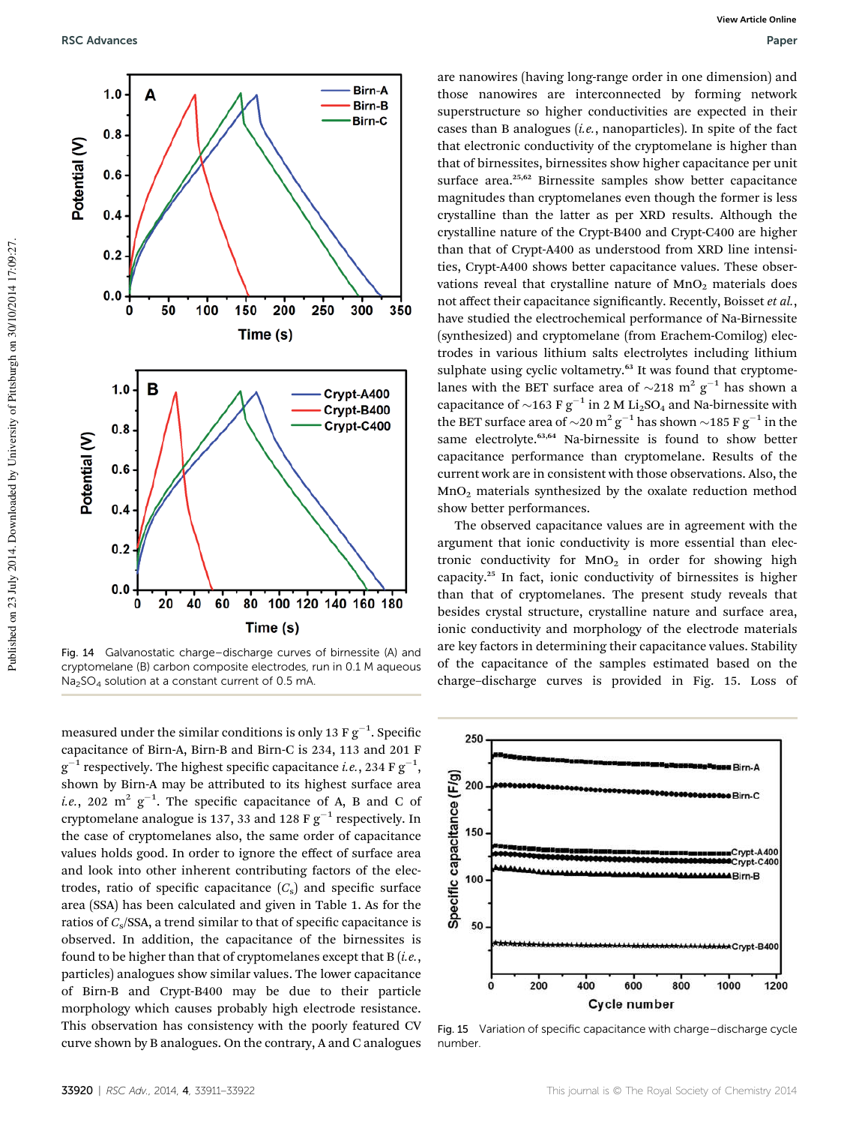

Fig. 14 Galvanostatic charge–discharge curves of birnessite (A) and cryptomelane (B) carbon composite electrodes, run in 0.1 M aqueous  $Na<sub>2</sub>SO<sub>4</sub>$  solution at a constant current of 0.5 mA

measured under the similar conditions is only 13 F  $\rm g^{-1}.$  Specific capacitance of Birn-A, Birn-B and Birn-C is 234, 113 and 201 F  $\mathrm{g}^{-1}$  respectively. The highest specific capacitance *i.e.*, 234 F  $\mathrm{g}^{-1},$ shown by Birn-A may be attributed to its highest surface area *i.e.*, 202  $\text{m}^2$  g<sup>-1</sup>. The specific capacitance of A, B and C of cryptomelane analogue is 137, 33 and 128 F  $g^{-1}$  respectively. In the case of cryptomelanes also, the same order of capacitance values holds good. In order to ignore the effect of surface area and look into other inherent contributing factors of the electrodes, ratio of specific capacitance  $(C<sub>s</sub>)$  and specific surface area (SSA) has been calculated and given in Table 1. As for the ratios of *C*<sub>s</sub>/SSA, a trend similar to that of specific capacitance is observed. In addition, the capacitance of the birnessites is found to be higher than that of cryptomelanes except that B (*i.e.*, particles) analogues show similar values. The lower capacitance of Birn-B and Crypt-B400 may be due to their particle morphology which causes probably high electrode resistance. This observation has consistency with the poorly featured CV curve shown by B analogues. On the contrary, A and C analogues

are nanowires (having long-range order in one dimension) and those nanowires are interconnected by forming network superstructure so higher conductivities are expected in their cases than B analogues (*i.e.*, nanoparticles). In spite of the fact that electronic conductivity of the cryptomelane is higher than that of birnessites, birnessites show higher capacitance per unit surface area.<sup>25,62</sup> Birnessite samples show better capacitance magnitudes than cryptomelanes even though the former is less crystalline than the latter as per XRD results. Although the crystalline nature of the Crypt-B400 and Crypt-C400 are higher than that of Crypt-A400 as understood from XRD line intensities, Crypt-A400 shows better capacitance values. These observations reveal that crystalline nature of  $MnO<sub>2</sub>$  materials does not affect their capacitance significantly. Recently, Boisset et al., have studied the electrochemical performance of Na-Birnessite (synthesized) and cryptomelane (from Erachem-Comilog) electrodes in various lithium salts electrolytes including lithium sulphate using cyclic voltametry.<sup>63</sup> It was found that cryptomelanes with the BET surface area of  $\sim$ 218 m<sup>2</sup> g<sup>-1</sup> has shown a capacitance of  $\sim$ 163 F g<sup>-1</sup> in 2 M Li<sub>2</sub>SO<sub>4</sub> and Na-birnessite with the BET surface area of  $\sim$ 20 m<sup>2</sup> g<sup>-1</sup> has shown  $\sim$ 185 F g<sup>-1</sup> in the same electrolyte.<sup>63,64</sup> Na-birnessite is found to show better capacitance performance than cryptomelane. Results of the current work are in consistent with those observations. Also, the MnO<sup>2</sup> materials synthesized by the oxalate reduction method show better performances.

The observed capacitance values are in agreement with the argument that ionic conductivity is more essential than electronic conductivity for  $MnO<sub>2</sub>$  in order for showing high capacity.<sup>25</sup> In fact, ionic conductivity of birnessites is higher than that of cryptomelanes. The present study reveals that besides crystal structure, crystalline nature and surface area, ionic conductivity and morphology of the electrode materials are key factors in determining their capacitance values. Stability of the capacitance of the samples estimated based on the charge–discharge curves is provided in Fig. 15. Loss of

![](_page_9_Figure_7.jpeg)

Fig. 15 Variation of specific capacitance with charge–discharge cycle number.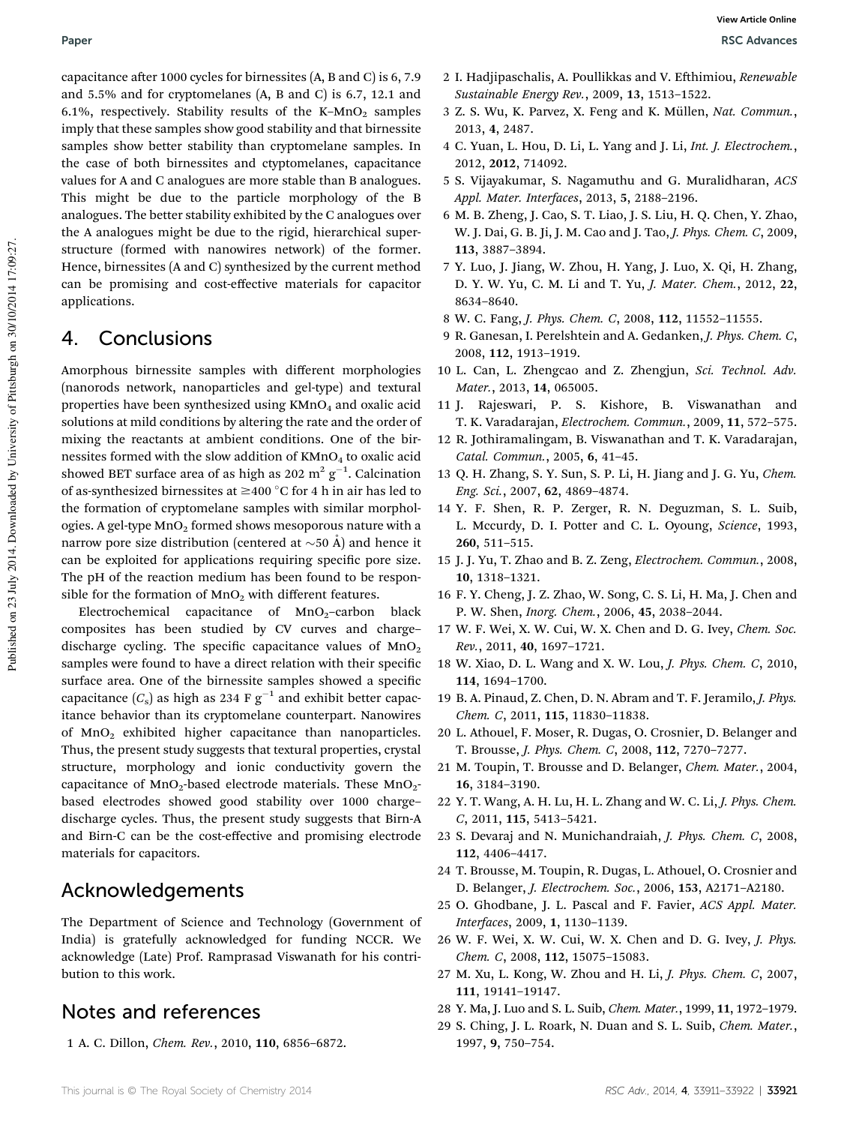capacitance after 1000 cycles for birnessites  $(A, B, and C)$  is 6, 7.9 and 5.5% and for cryptomelanes (A, B and C) is 6.7, 12.1 and 6.1%, respectively. Stability results of the K-MnO<sub>2</sub> samples imply that these samples show good stability and that birnessite samples show better stability than cryptomelane samples. In the case of both birnessites and ctyptomelanes, capacitance values for A and C analogues are more stable than B analogues. This might be due to the particle morphology of the B analogues. The better stability exhibited by the C analogues over the A analogues might be due to the rigid, hierarchical superstructure (formed with nanowires network) of the former. Hence, birnessites (A and C) synthesized by the current method can be promising and cost-effective materials for capacitor applications.

### 4. Conclusions

Amorphous birnessite samples with different morphologies (nanorods network, nanoparticles and gel-type) and textural properties have been synthesized using  $KMnO<sub>4</sub>$  and oxalic acid solutions at mild conditions by altering the rate and the order of mixing the reactants at ambient conditions. One of the birnessites formed with the slow addition of  $KMnO_4$  to oxalic acid showed BET surface area of as high as 202  $\mathrm{m^2\,g^{-1}}$ . Calcination of as-synthesized birnessites at  $\geq$ 400 °C for 4 h in air has led to the formation of cryptomelane samples with similar morphologies. A gel-type  $MnO<sub>2</sub>$  formed shows mesoporous nature with a narrow pore size distribution (centered at  $\sim$ 50 Å) and hence it can be exploited for applications requiring specific pore size. The pH of the reaction medium has been found to be responsible for the formation of  $MnO<sub>2</sub>$  with different features.

Electrochemical capacitance of  $MnO<sub>2</sub>$ -carbon black composites has been studied by CV curves and charge– discharge cycling. The specific capacitance values of  $MnO<sub>2</sub>$ samples were found to have a direct relation with their specific surface area. One of the birnessite samples showed a specific capacitance  $(C_s)$  as high as 234 F  $g^{-1}$  and exhibit better capacitance behavior than its cryptomelane counterpart. Nanowires of MnO<sub>2</sub> exhibited higher capacitance than nanoparticles. Thus, the present study suggests that textural properties, crystal structure, morphology and ionic conductivity govern the capacitance of  $MnO_2$ -based electrode materials. These  $MnO_2$ based electrodes showed good stability over 1000 charge– discharge cycles. Thus, the present study suggests that Birn-A and Birn-C can be the cost-effective and promising electrode materials for capacitors.

## Acknowledgements

The Department of Science and Technology (Government of India) is gratefully acknowledged for funding NCCR. We acknowledge (Late) Prof. Ramprasad Viswanath for his contribution to this work.

## Notes and references

1 A. C. Dillon, *Chem. Rev.*, 2010, 110, 6856–6872.

- 2 I. Hadjipaschalis, A. Poullikkas and V. Ehimiou, *Renewable Sustainable Energy Rev.*, 2009, 13, 1513–1522.
- 3 Z. S. Wu, K. Parvez, X. Feng and K. Müllen, Nat. Commun., 2013, 4, 2487.
- 4 C. Yuan, L. Hou, D. Li, L. Yang and J. Li, *Int. J. Electrochem.*, 2012, 2012, 714092.
- 5 S. Vijayakumar, S. Nagamuthu and G. Muralidharan, *ACS Appl. Mater. Interfaces*, 2013, 5, 2188–2196.
- 6 M. B. Zheng, J. Cao, S. T. Liao, J. S. Liu, H. Q. Chen, Y. Zhao, W. J. Dai, G. B. Ji, J. M. Cao and J. Tao, *J. Phys. Chem. C*, 2009, 113, 3887–3894.
- 7 Y. Luo, J. Jiang, W. Zhou, H. Yang, J. Luo, X. Qi, H. Zhang, D. Y. W. Yu, C. M. Li and T. Yu, *J. Mater. Chem.*, 2012, 22, 8634–8640.
- 8 W. C. Fang, *J. Phys. Chem. C*, 2008, 112, 11552–11555.
- 9 R. Ganesan, I. Perelshtein and A. Gedanken, *J. Phys. Chem. C*, 2008, 112, 1913–1919.
- 10 L. Can, L. Zhengcao and Z. Zhengjun, *Sci. Technol. Adv. Mater.*, 2013, 14, 065005.
- 11 J. Rajeswari, P. S. Kishore, B. Viswanathan and T. K. Varadarajan, *Electrochem. Commun.*, 2009, 11, 572–575.
- 12 R. Jothiramalingam, B. Viswanathan and T. K. Varadarajan, *Catal. Commun.*, 2005, 6, 41–45.
- 13 Q. H. Zhang, S. Y. Sun, S. P. Li, H. Jiang and J. G. Yu, *Chem. Eng. Sci.*, 2007, 62, 4869–4874.
- 14 Y. F. Shen, R. P. Zerger, R. N. Deguzman, S. L. Suib, L. Mccurdy, D. I. Potter and C. L. Oyoung, *Science*, 1993, 260, 511–515.
- 15 J. J. Yu, T. Zhao and B. Z. Zeng, *Electrochem. Commun.*, 2008, 10, 1318–1321.
- 16 F. Y. Cheng, J. Z. Zhao, W. Song, C. S. Li, H. Ma, J. Chen and P. W. Shen, *Inorg. Chem.*, 2006, 45, 2038–2044.
- 17 W. F. Wei, X. W. Cui, W. X. Chen and D. G. Ivey, *Chem. Soc. Rev.*, 2011, 40, 1697–1721.
- 18 W. Xiao, D. L. Wang and X. W. Lou, *J. Phys. Chem. C*, 2010, 114, 1694–1700.
- 19 B. A. Pinaud, Z. Chen, D. N. Abram and T. F. Jeramilo, *J. Phys. Chem. C*, 2011, 115, 11830–11838.
- 20 L. Athouel, F. Moser, R. Dugas, O. Crosnier, D. Belanger and T. Brousse, *J. Phys. Chem. C*, 2008, 112, 7270–7277.
- 21 M. Toupin, T. Brousse and D. Belanger, *Chem. Mater.*, 2004, 16, 3184–3190.
- 22 Y. T. Wang, A. H. Lu, H. L. Zhang and W. C. Li, *J. Phys. Chem. C*, 2011, 115, 5413–5421.
- 23 S. Devaraj and N. Munichandraiah, *J. Phys. Chem. C*, 2008, 112, 4406–4417.
- 24 T. Brousse, M. Toupin, R. Dugas, L. Athouel, O. Crosnier and D. Belanger, *J. Electrochem. Soc.*, 2006, 153, A2171–A2180.
- 25 O. Ghodbane, J. L. Pascal and F. Favier, *ACS Appl. Mater. Interfaces*, 2009, 1, 1130–1139.
- 26 W. F. Wei, X. W. Cui, W. X. Chen and D. G. Ivey, *J. Phys. Chem. C*, 2008, 112, 15075–15083.
- 27 M. Xu, L. Kong, W. Zhou and H. Li, *J. Phys. Chem. C*, 2007, 111, 19141–19147.
- 28 Y. Ma, J. Luo and S. L. Suib, *Chem. Mater.*, 1999, 11, 1972–1979.
- 29 S. Ching, J. L. Roark, N. Duan and S. L. Suib, *Chem. Mater.*, 1997, 9, 750–754.